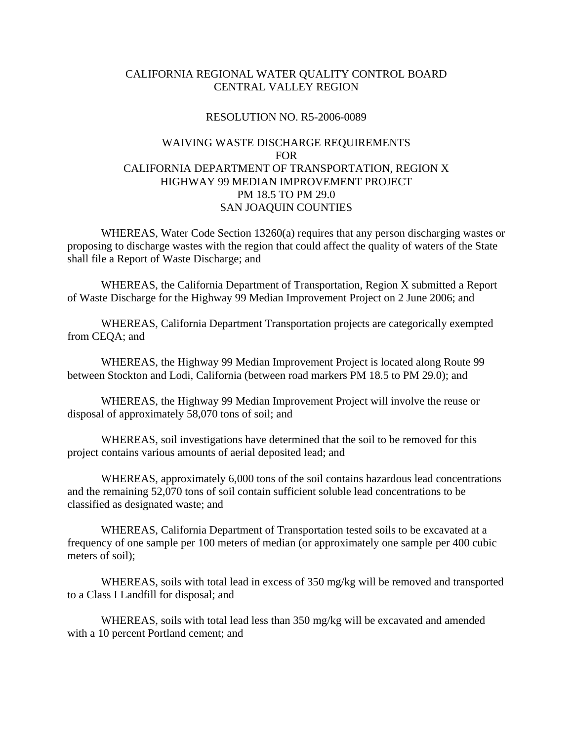## CALIFORNIA REGIONAL WATER QUALITY CONTROL BOARD CENTRAL VALLEY REGION

## RESOLUTION NO. R5-2006-0089

## WAIVING WASTE DISCHARGE REQUIREMENTS FOR CALIFORNIA DEPARTMENT OF TRANSPORTATION, REGION X HIGHWAY 99 MEDIAN IMPROVEMENT PROJECT PM 18.5 TO PM 29.0 SAN JOAQUIN COUNTIES

 WHEREAS, Water Code Section 13260(a) requires that any person discharging wastes or proposing to discharge wastes with the region that could affect the quality of waters of the State shall file a Report of Waste Discharge; and

 WHEREAS, the California Department of Transportation, Region X submitted a Report of Waste Discharge for the Highway 99 Median Improvement Project on 2 June 2006; and

 WHEREAS, California Department Transportation projects are categorically exempted from CEQA; and

 WHEREAS, the Highway 99 Median Improvement Project is located along Route 99 between Stockton and Lodi, California (between road markers PM 18.5 to PM 29.0); and

 WHEREAS, the Highway 99 Median Improvement Project will involve the reuse or disposal of approximately 58,070 tons of soil; and

 WHEREAS, soil investigations have determined that the soil to be removed for this project contains various amounts of aerial deposited lead; and

 WHEREAS, approximately 6,000 tons of the soil contains hazardous lead concentrations and the remaining 52,070 tons of soil contain sufficient soluble lead concentrations to be classified as designated waste; and

 WHEREAS, California Department of Transportation tested soils to be excavated at a frequency of one sample per 100 meters of median (or approximately one sample per 400 cubic meters of soil);

 WHEREAS, soils with total lead in excess of 350 mg/kg will be removed and transported to a Class I Landfill for disposal; and

 WHEREAS, soils with total lead less than 350 mg/kg will be excavated and amended with a 10 percent Portland cement; and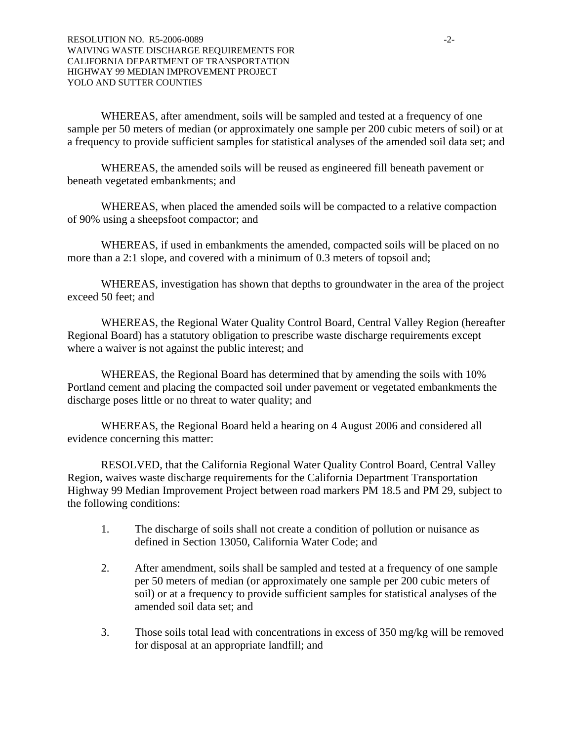WHEREAS, after amendment, soils will be sampled and tested at a frequency of one sample per 50 meters of median (or approximately one sample per 200 cubic meters of soil) or at a frequency to provide sufficient samples for statistical analyses of the amended soil data set; and

 WHEREAS, the amended soils will be reused as engineered fill beneath pavement or beneath vegetated embankments; and

 WHEREAS, when placed the amended soils will be compacted to a relative compaction of 90% using a sheepsfoot compactor; and

 WHEREAS, if used in embankments the amended, compacted soils will be placed on no more than a 2:1 slope, and covered with a minimum of 0.3 meters of topsoil and;

 WHEREAS, investigation has shown that depths to groundwater in the area of the project exceed 50 feet; and

 WHEREAS, the Regional Water Quality Control Board, Central Valley Region (hereafter Regional Board) has a statutory obligation to prescribe waste discharge requirements except where a waiver is not against the public interest; and

 WHEREAS, the Regional Board has determined that by amending the soils with 10% Portland cement and placing the compacted soil under pavement or vegetated embankments the discharge poses little or no threat to water quality; and

 WHEREAS, the Regional Board held a hearing on 4 August 2006 and considered all evidence concerning this matter:

 RESOLVED, that the California Regional Water Quality Control Board, Central Valley Region, waives waste discharge requirements for the California Department Transportation Highway 99 Median Improvement Project between road markers PM 18.5 and PM 29, subject to the following conditions:

- 1. The discharge of soils shall not create a condition of pollution or nuisance as defined in Section 13050, California Water Code; and
- 2. After amendment, soils shall be sampled and tested at a frequency of one sample per 50 meters of median (or approximately one sample per 200 cubic meters of soil) or at a frequency to provide sufficient samples for statistical analyses of the amended soil data set; and
- 3. Those soils total lead with concentrations in excess of 350 mg/kg will be removed for disposal at an appropriate landfill; and